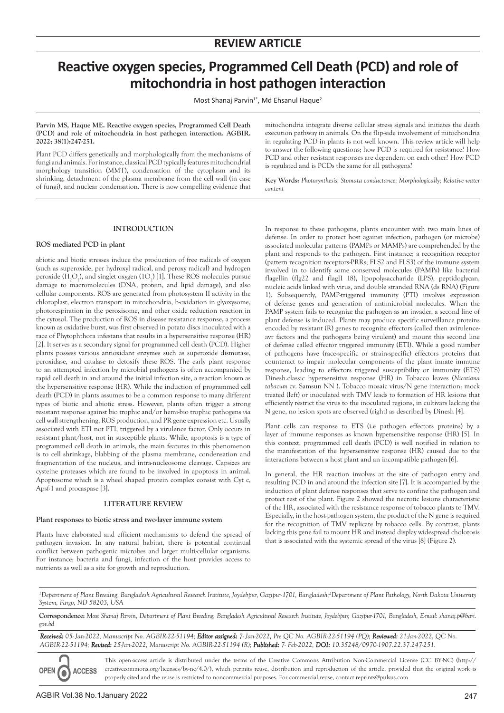# **Reactive oxygen species, Programmed Cell Death (PCD) and role of mitochondria in host pathogen interaction**

Most Shanaj Parvin<sup>1\*</sup>, Md Ehsanul Haque<sup>2</sup>

**Parvin MS, Haque ME. Reactive oxygen species, Programmed Cell Death (PCD) and role of mitochondria in host pathogen interaction. AGBIR. 2022; 38(1):247-251.**

Plant PCD differs genetically and morphologically from the mechanisms of fungi and animals. For instance, classical PCD typically features mitochondrial morphology transition (MMT), condensation of the cytoplasm and its shrinking, detachment of the plasma membrane from the cell wall (in case of fungi), and nuclear condensation. There is now compelling evidence that

mitochondria integrate diverse cellular stress signals and initiates the death execution pathway in animals. On the flip-side involvement of mitochondria in regulating PCD in plants is not well known. This review article will help to answer the following questions; how PCD is required for resistance? How PCD and other resistant responses are dependent on each other? How PCD is regulated and is PCDs the same for all pathogens?

**Key Words:** *Photosynthesis; Stomata conductance; Morphologically; Relative water content*

# **INTRODUCTION**

### **ROS mediated PCD in plant**

abiotic and biotic stresses induce the production of free radicals of oxygen (such as superoxide, per hydroxyl radical, and peroxy radical) and hydrogen peroxide (H<sub>2</sub>O<sub>2</sub>), and singlet oxygen (1O<sub>2</sub>) [1]. These ROS molecules pursue damage to macromolecules (DNA, protein, and lipid damage), and also cellular components. ROS are generated from photosystem II activity in the chloroplast, electron transport in mitochondria, b-oxidation in glyoxysome, photorespiration in the peroxisome, and other oxide reduction reaction in the cytosol. The production of ROS in disease resistance response, a process known as oxidative burst, was first observed in potato discs inoculated with a race of Phytophthora infestans that results in a hypersensitive response (HR) [2]. It serves as a secondary signal for programmed cell death (PCD). Higher plants possess various antioxidant enzymes such as superoxide dismutase, peroxidase, and catalase to detoxify these ROS. The early plant response to an attempted infection by microbial pathogens is often accompanied by rapid cell death in and around the initial infection site, a reaction known as the hypersensitive response (HR). While the induction of programmed cell death (PCD) in plants assumes to be a common response to many different types of biotic and abiotic stress. However, plants often trigger a strong resistant response against bio trophic and/or hemi-bio trophic pathogens *via*  cell wall strengthening, ROS production, and PR gene expression etc. Usually associated with ETI not PTI, triggered by a virulence factor. Only occurs in resistant plant/host, not in susceptible plants. While, apoptosis is a type of programmed cell death in animals, the main features in this phenomenon is to cell shrinkage, blabbing of the plasma membrane, condensation and fragmentation of the nucleus, and intra-nucleosome cleavage. Capsizes are cysteine proteases which are found to be involved in apoptosis in animal. Apoptosome which is a wheel shaped protein complex consist with Cyt c, Apsf-1 and procaspase [3].

#### **LITERATURE REVIEW**

#### **Plant responses to biotic stress and two-layer immune system**

Plants have elaborated and efficient mechanisms to defend the spread of pathogen invasion. In any natural habitat, there is potential continual conflict between pathogenic microbes and larger multi-cellular organisms. For instance; bacteria and fungi, infection of the host provides access to nutrients as well as a site for growth and reproduction.

In response to these pathogens, plants encounter with two main lines of defense. In order to protect host against infection, pathogen (or microbe) associated molecular patterns (PAMPs or MAMPs) are comprehended by the plant and responds to the pathogen. First instance; a recognition receptor (pattern recognition receptors-PRRs; FLS2 and FLS3) of the immune system involved in to identify some conserved molecules (PAMPs) like bacterial flagellin (flg22 and flagII 18), lipopolysaccharide (LPS), peptidoglycan, nucleic acids linked with virus, and double stranded RNA (ds RNA) (Figure 1). Subsequently, PAMP-triggered immunity (PTI) involves expression of defense genes and generation of antimicrobial molecules. When the PAMP system fails to recognize the pathogen as an invader, a second line of plant defense is induced. Plants may produce specific surveillance proteins encoded by resistant (R) genes to recognize effectors (called then avirulenceavr factors and the pathogens being virulent) and mount this second line of defense called effector triggered immunity (ETI). While a good number of pathogens have (race-specific or strain-specific) effectors proteins that counteract to impair molecular components of the plant innate immune response, leading to effectors triggered susceptibility or immunity (ETS) Dinesh.classic hypersensitive response (HR) in Tobacco leaves (*Nicotiana tabacum* cv. Samsun NN ). Tobacco mosaic virus/N gene interaction: mock treated (left) or inoculated with TMV leads to formation of HR lesions that efficiently restrict the virus to the inoculated regions, in cultivars lacking the N gene, no lesion spots are observed (right) as described by Dinesh [4].

Plant cells can response to ETS (i.e pathogen effectors proteins) by a layer of immune responses as known hypersensitive response (HR) [5]. In this context, programmed cell death (PCD) is well notified in relation to the manifestation of the hypersensitive response (HR) caused due to the interactions between a host plant and an incompatible pathogen [6].

In general, the HR reaction involves at the site of pathogen entry and resulting PCD in and around the infection site [7]. It is accompanied by the induction of plant defense responses that serve to confine the pathogen and protect rest of the plant. Figure 2 showed the necrotic lesions characteristic of the HR, associated with the resistance response of tobacco plants to TMV. Especially, in the host-pathogen system, the product of the N gene is required for the recognition of TMV replicate by tobacco cells. By contrast, plants lacking this gene fail to mount HR and instead display widespread cholorosis that is associated with the systemic spread of the virus [8] (Figure 2).

*1 Department of Plant Breeding, Bangladesh Agricultural Research Institute, Joydebpur, Gazipur-1701, Bangladesh;2 Department of Plant Pathology, North Dakota University System, Fargo, ND 58203, USA* 

**Correspondence:** *Most Shanaj Parvin, Department of Plant Breeding, Bangladesh Agricultural Research Institute, Joydebpur, Gazipur-1701, Bangladesh, E-mail: shanaj.p@bari. gov.bd*

*Received: 05- Jan-2022, Manuscript No. AGBIR-22-51194; Editor assigned: 7- Jan-2022, Pre QC No. AGBIR-22-51194 (PQ); Reviewed: 21-Jan-2022, QC No. AGBIR-22-51194; Revised: 25-Jan-2022, Manuscript No. AGBIR-22-51194 (R); Published: 7- Feb-2022, DOI: 10.35248/0970-1907.22.37.247-251.*

This open-access article is distributed under the terms of the Creative Commons Attribution Non-Commercial License (CC BY-NC) (http:// **ACCESS** creativecommons.org/licenses/by-nc/4.0/), which permits reuse, distribution and reproduction of the article, provided that the original work is properly cited and the reuse is restricted to noncommercial purposes. For commercial reuse, contact reprints@pulsus.com

**OPEN** 

0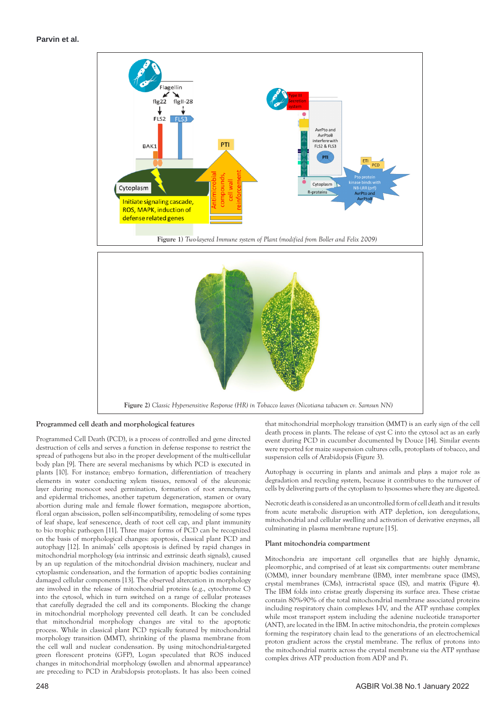## **Parvin et al.**



#### **Programmed cell death and morphological features**

Programmed Cell Death (PCD), is a process of controlled and gene directed destruction of cells and serves a function in defense response to restrict the spread of pathogens but also in the proper development of the multi-cellular body plan [9]. There are several mechanisms by which PCD is executed in plants [10]. For instance; embryo formation, differentiation of treachery elements in water conducting xylem tissues, removal of the aleuronic layer during monocot seed germination, formation of root arenchyma, and epidermal trichomes, another tapetum degeneration, stamen or ovary abortion during male and female flower formation, megaspore abortion, floral organ abscission, pollen self-incompatibility, remodeling of some types of leaf shape, leaf senescence, death of root cell cap, and plant immunity to bio trophic pathogen [11]. Three major forms of PCD can be recognized on the basis of morphological changes: apoptosis, classical plant PCD and autophagy [12]. In animals' cells apoptosis is defined by rapid changes in mitochondrial morphology (*via* intrinsic and extrinsic death signals), caused by an up regulation of the mitochondrial division machinery, nuclear and cytoplasmic condensation, and the formation of apoptic bodies containing damaged cellular components [13]. The observed altercation in morphology are involved in the release of mitochondrial proteins (e.g., cytochrome C) into the cytosol, which in turn switched on a range of cellular proteases that carefully degraded the cell and its components. Blocking the change in mitochondrial morphology prevented cell death. It can be concluded that mitochondrial morphology changes are vital to the apoptotic process. While in classical plant PCD typically featured by mitochondrial morphology transition (MMT), shrinking of the plasma membrane from the cell wall and nuclear condensation. By using mitochondrial-targeted green florescent proteins (GFP), Logan speculated that ROS induced changes in mitochondrial morphology (swollen and abnormal appearance) are preceding to PCD in Arabidopsis protoplasts. It has also been coined

that mitochondrial morphology transition (MMT) is an early sign of the cell death process in plants. The release of cyst C into the cytosol act as an early event during PCD in cucumber documented by Douce [14]. Similar events were reported for maize suspension cultures cells, protoplasts of tobacco, and suspension cells of Arabidopsis (Figure 3).

Autophagy is occurring in plants and animals and plays a major role as degradation and recycling system, because it contributes to the turnover of cells by delivering parts of the cytoplasm to lysosomes where they are digested.

Necrotic death is considered as an uncontrolled form of cell death and it results from acute metabolic disruption with ATP depletion, ion deregulations, mitochondrial and cellular swelling and activation of derivative enzymes, all culminating in plasma membrane rupture [15].

#### **Plant mitochondria compartment**

Mitochondria are important cell organelles that are highly dynamic, pleomorphic, and comprised of at least six compartments: outer membrane (OMM), inner boundary membrane (IBM), inter membrane space (IMS), crystal membranes (CMs), intracristal space (IS), and matrix (Figure 4). The IBM folds into cristae greatly dispersing its surface area. These cristae contain 80%-90% of the total mitochondrial membrane associated proteins including respiratory chain complexes I-IV, and the ATP synthase complex while most transport system including the adenine nucleotide transporter (ANT), are located in the IBM. In active mitochondria, the protein complexes forming the respiratory chain lead to the generations of an electrochemical proton gradient across the crystal membrane. The reflux of protons into the mitochondrial matrix across the crystal membrane *via* the ATP synthase complex drives ATP production from ADP and Pi.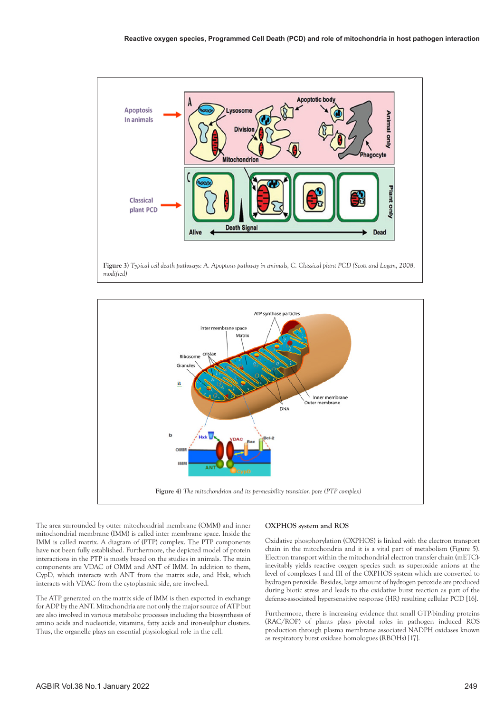

**Figure 3)** *Typical cell death pathways: A. Apoptosis pathway in animals, C. Classical plant PCD (Scott and Logan, 2008, modified)*



The area surrounded by outer mitochondrial membrane (OMM) and inner mitochondrial membrane (IMM) is called inter membrane space. Inside the IMM is called matrix. A diagram of (PTP) complex. The PTP components have not been fully established. Furthermore, the depicted model of protein interactions in the PTP is mostly based on the studies in animals. The main components are VDAC of OMM and ANT of IMM. In addition to them, CypD, which interacts with ANT from the matrix side, and Hxk, which interacts with VDAC from the cytoplasmic side, are involved.

The ATP generated on the matrix side of IMM is then exported in exchange for ADP by the ANT. Mitochondria are not only the major source of ATP but are also involved in various metabolic processes including the biosynthesis of amino acids and nucleotide, vitamins, fatty acids and iron-sulphur clusters. Thus, the organelle plays an essential physiological role in the cell.

#### **OXPHOS system and ROS**

Oxidative phosphorylation (OXPHOS) is linked with the electron transport chain in the mitochondria and it is a vital part of metabolism (Figure 5). Electron transport within the mitochondrial electron transfer chain (mETC) inevitably yields reactive oxygen species such as superoxide anions at the level of complexes I and III of the OXPHOS system which are converted to hydrogen peroxide. Besides, large amount of hydrogen peroxide are produced during biotic stress and leads to the oxidative burst reaction as part of the defense-associated hypersensitive response (HR) resulting cellular PCD [16].

Furthermore, there is increasing evidence that small GTP-binding proteins (RAC/ROP) of plants plays pivotal roles in pathogen induced ROS production through plasma membrane associated NADPH oxidases known as respiratory burst oxidase homologues (RBOHs) [17].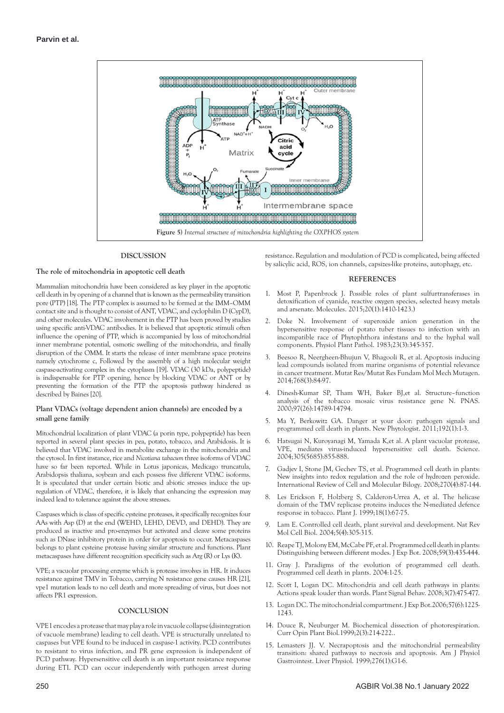

#### **DISCUSSION**

#### **The role of mitochondria in apoptotic cell death**

Mammalian mitochondria have been considered as key player in the apoptotic cell death in by opening of a channel that is known as the permeability transition pore (PTP) [18]. The PTP complex is assumed to be formed at the IMM–OMM contact site and is thought to consist of ANT, VDAC, and cyclophilin D (CypD), and other molecules. VDAC involvement in the PTP has been proved by studies using specific anti-VDAC antibodies. It is believed that apoptotic stimuli often influence the opening of PTP, which is accompanied by loss of mitochondrial inner membrane potential, osmotic swelling of the mitochondria, and finally disruption of the OMM. It starts the release of inter membrane space proteins namely cytochrome c, Followed by the assembly of a high molecular weight caspase-activating complex in the cytoplasm [19]. VDAC (30 kDa, polypeptide) is indispensable for PTP opening, hence by blocking VDAC or ANT or by preventing the formation of the PTP the apoptosis pathway hindered as described by Baines [20].

#### **Plant VDACs (voltage dependent anion channels) are encoded by a small gene family**

Mitochondrial localization of plant VDAC (a porin type, polypeptide) has been reported in several plant species in pea, potato, tobacco, and Arabidosis. It is believed that VDAC involved in metabolite exchange in the mitochondria and the cytosol. In first instance, rice and *Nicotiana tabacum* three isoforms of VDAC have so far been reported. While in Lotus japonicas, Medicago truncatula, Arabidopsis thaliana, soybean and each possess five different VDAC isoforms. It is speculated that under certain biotic and abiotic stresses induce the upregulation of VDAC, therefore, it is likely that enhancing the expression may indeed lead to tolerance against the above stresses.

Caspases which is class of specific cysteine proteases, it specifically recognizes four AAs with Asp (D) at the end (WEHD, LEHD, DEVD, and DEHD). They are produced as inactive and pro-enzymes but activated and cleave some proteins such as DNase inhibitory protein in order for apoptosis to occur. Metacaspases belongs to plant cysteine protease having similar structure and functions. Plant metacaspases have different recognition specificity such as Arg (R) or Lys (K).

VPE; a vacuolar processing enzyme which is protease involves in HR. It induces resistance against TMV in Tobacco, carrying N resistance gene causes HR [21], vpe1 mutation leads to no cell death and more spreading of virus, but does not affects PR1 expression.

#### **CONCLUSION**

VPE1 encodes a protease that may play a role in vacuole collapse (disintegration of vacuole membrane) leading to cell death. VPE is structurally unrelated to caspases but VPE found to be induced in caspase-1 activity. PCD contributes to resistant to virus infection, and PR gene expression is independent of PCD pathway. Hypersensitive cell death is an important resistance response during ETI. PCD can occur independently with pathogen arrest during

resistance. Regulation and modulation of PCD is complicated, being affected by salicylic acid, ROS, ion channels, capsizes-like proteins, autophagy, etc.

#### **REFERENCES**

- 1. Most P, Papenbrock J. [Possible roles of plant sulfurtransferases in](https://www.mdpi.com/1420-3049/20/1/1410)  [detoxification of cyanide, reactive oxygen species, selected heavy metals](https://www.mdpi.com/1420-3049/20/1/1410)  [and arsenate.](https://www.mdpi.com/1420-3049/20/1/1410) Molecules. 2015;20(1):1410-1423.)
- 2. Doke N. [Involvement of superoxide anion generation in the](https://www.sciencedirect.com/science/article/abs/pii/004840598390019X)  [hypersensitive response of potato tuber tissues to infection with an](https://www.sciencedirect.com/science/article/abs/pii/004840598390019X)  [incompatible race of Phytophthora infestans and to the hyphal wall](https://www.sciencedirect.com/science/article/abs/pii/004840598390019X)  [components.](https://www.sciencedirect.com/science/article/abs/pii/004840598390019X) Physiol Plant Pathol. 1983;23(3):345-357.
- 3. Beesoo R, Neergheen-Bhujun V, Bhagooli R, et al. [Apoptosis inducing](https://www.sciencedirect.com/science/article/abs/pii/S0027510714000529)  [lead compounds isolated from marine organisms of potential relevance](https://www.sciencedirect.com/science/article/abs/pii/S0027510714000529) [in cancer treatment. Mutat Res/Mutat Res Fundam Mol Mech Mutagen.](https://www.sciencedirect.com/science/article/abs/pii/S0027510714000529)  2014;768(3):84-97.
- 4. Dinesh-Kumar SP, Tham WH, Baker BJ,et al. [Structure–function](https://www.pnas.org/content/97/26/14789.short)  [analysis of the tobacco mosaic virus resistance gene N](https://www.pnas.org/content/97/26/14789.short). PNAS. 2000;97(26):14789-14794.
- 5. Ma Y, Berkowitz GA. [Danger at your door: pathogen signals and](https://www.cabdirect.org/cabdirect/abstract/20113318166)  [programmed cell death in plants.](https://www.cabdirect.org/cabdirect/abstract/20113318166) New Phytologist. 2011;192(1):1-3.
- 6. Hatsugai N, Kuroyanagi M, Yamada K,et al. [A plant vacuolar protease,](https://www.science.org/doi/abs/10.1126/science.1099859)  [VPE, mediates virus-induced hypersensitive cell death](https://www.science.org/doi/abs/10.1126/science.1099859). Science. 2004;305(5685):855-888.
- Gadjev I, Stone JM, Gechev TS, et al. Programmed cell death in plants: [New insights into redox regulation and the role of hydrozen peroxide.](https://www.sciencedirect.com/science/article/abs/pii/S1937644808014032)  International Review of Cell and Molecular Bilogy. 2008;270(4):87-144.
- 8. Les Erickson F, Holzberg S, Calderon-Urrea A, et al. [The helicase](https://onlinelibrary.wiley.com/doi/full/10.1046/j.1365-313X.1999.00426.x)  [domain of the TMV replicase proteins induces the N-mediated defence](https://onlinelibrary.wiley.com/doi/full/10.1046/j.1365-313X.1999.00426.x)  [response in tobacco](https://onlinelibrary.wiley.com/doi/full/10.1046/j.1365-313X.1999.00426.x). Plant J. 1999;18(1):67-75.
- 9. Lam E. [Controlled cell death, plant survival and development.](Controlled cell death, plant survival and development) Nat Rev Mol Cell Biol. 2004;5(4):305-315.
- 10. Reape TJ, Molony EM, McCabe PF, et al. Programmed cell death in plants: Distinguishing between different modes. J Exp Bot. 2008;59(3):435-444.
- 11. Gray J. Paradigms of the evolution of programmed cell death. Programmed cell death in plants. 2004:1-25.
- 12. Scott I, Logan DC. [Mitochondria and cell death pathways in plants:](Mitochondria and cell death pathways in plants: Actions speak louder than words)  [Actions speak louder than words.](Mitochondria and cell death pathways in plants: Actions speak louder than words) Plant Signal Behav. 2008;3(7):475-477.
- 13. Logan DC. The mitochondrial compartment. J Exp Bot.2006;57(6):1225- 1243.
- 14. Douce R, Neuburger M. [Biochemical dissection of photorespiration.](https://www.sciencedirect.com/science/article/abs/pii/S1369526699800387)  Curr Opin Plant Biol.1999;2(3):214-222..
- 15. Lemasters JJ. V. [Necrapoptosis and the mitochondrial permeability](https://journals.physiology.org/doi/full/10.1152/ajpgi.1999.276.1.G1) [transition: shared pathways to necrosis and apoptosis.](https://journals.physiology.org/doi/full/10.1152/ajpgi.1999.276.1.G1) Am J Physiol Gastrointest. Liver Physiol. 1999;276(1):G1-6.